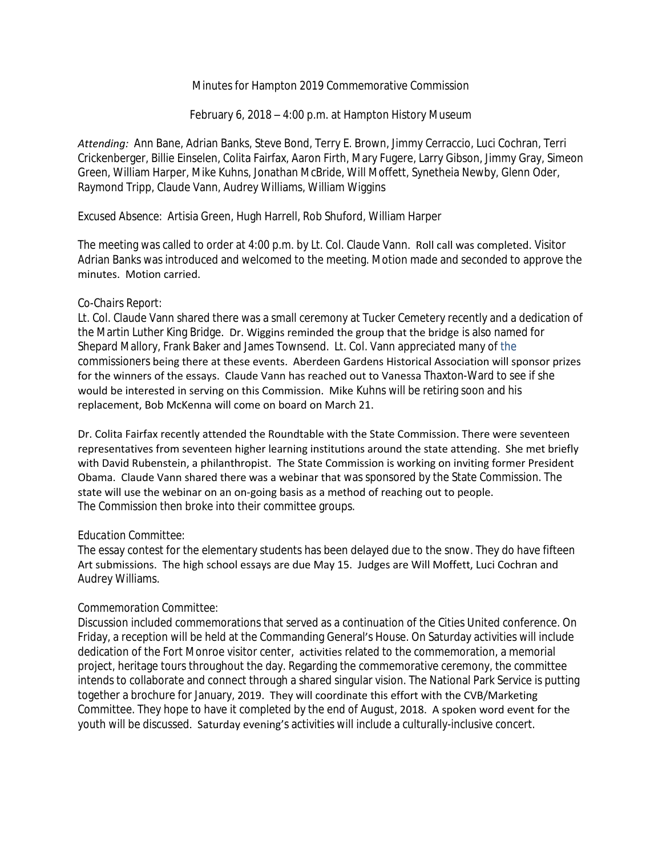# Minutes for Hampton 2019 Commemorative Commission

February 6, 2018 – 4:00 p.m. at Hampton History Museum

*Attending:* Ann Bane, Adrian Banks, Steve Bond, Terry E. Brown, Jimmy Cerraccio, Luci Cochran, Terri Crickenberger, Billie Einselen, Colita Fairfax, Aaron Firth, Mary Fugere, Larry Gibson, Jimmy Gray, Simeon Green, William Harper, Mike Kuhns, Jonathan McBride, Will Moffett, Synetheia Newby, Glenn Oder, Raymond Tripp, Claude Vann, Audrey Williams, William Wiggins

*Excused Absence:* Artisia Green, Hugh Harrell, Rob Shuford, William Harper

The meeting was called to order at 4:00 p.m. by Lt. Col. Claude Vann. Roll call was completed. Visitor Adrian Banks was introduced and welcomed to the meeting. Motion made and seconded to approve the minutes. Motion carried.

# *Co-Chairs Report:*

Lt. Col. Claude Vann shared there was a small ceremony at Tucker Cemetery recently and a dedication of the Martin Luther King Bridge. Dr. Wiggins reminded the group that the bridge is also named for Shepard Mallory, Frank Baker and James Townsend. Lt. Col. Vann appreciated many of the commissioners being there at these events. Aberdeen Gardens Historical Association will sponsor prizes for the winners of the essays. Claude Vann has reached out to Vanessa Thaxton-Ward to see if she would be interested in serving on this Commission. Mike Kuhns will be retiring soon and his replacement, Bob McKenna will come on board on March 21.

Dr. Colita Fairfax recently attended the Roundtable with the State Commission. There were seventeen representatives from seventeen higher learning institutions around the state attending. She met briefly with David Rubenstein, a philanthropist. The State Commission is working on inviting former President Obama. Claude Vann shared there was a webinar that was sponsored by the State Commission. The state will use the webinar on an on-going basis as a method of reaching out to people. The Commission then broke into their committee groups.

### *Education Committee:*

The essay contest for the elementary students has been delayed due to the snow. They do have fifteen Art submissions. The high school essays are due May 15. Judges are Will Moffett, Luci Cochran and Audrey Williams.

### *Commemoration Committee:*

Discussion included commemorations that served as a continuation of the Cities United conference. On Friday, a reception will be held at the Commanding General's House. On Saturday activities will include dedication of the Fort Monroe visitor center, activities related to the commemoration, a memorial project, heritage tours throughout the day. Regarding the commemorative ceremony, the committee intends to collaborate and connect through a shared singular vision. The National Park Service is putting together a brochure for January, 2019. They will coordinate this effort with the CVB/Marketing Committee. They hope to have it completed by the end of August, 2018. A spoken word event for the youth will be discussed. Saturday evening's activities will include a culturally-inclusive concert.